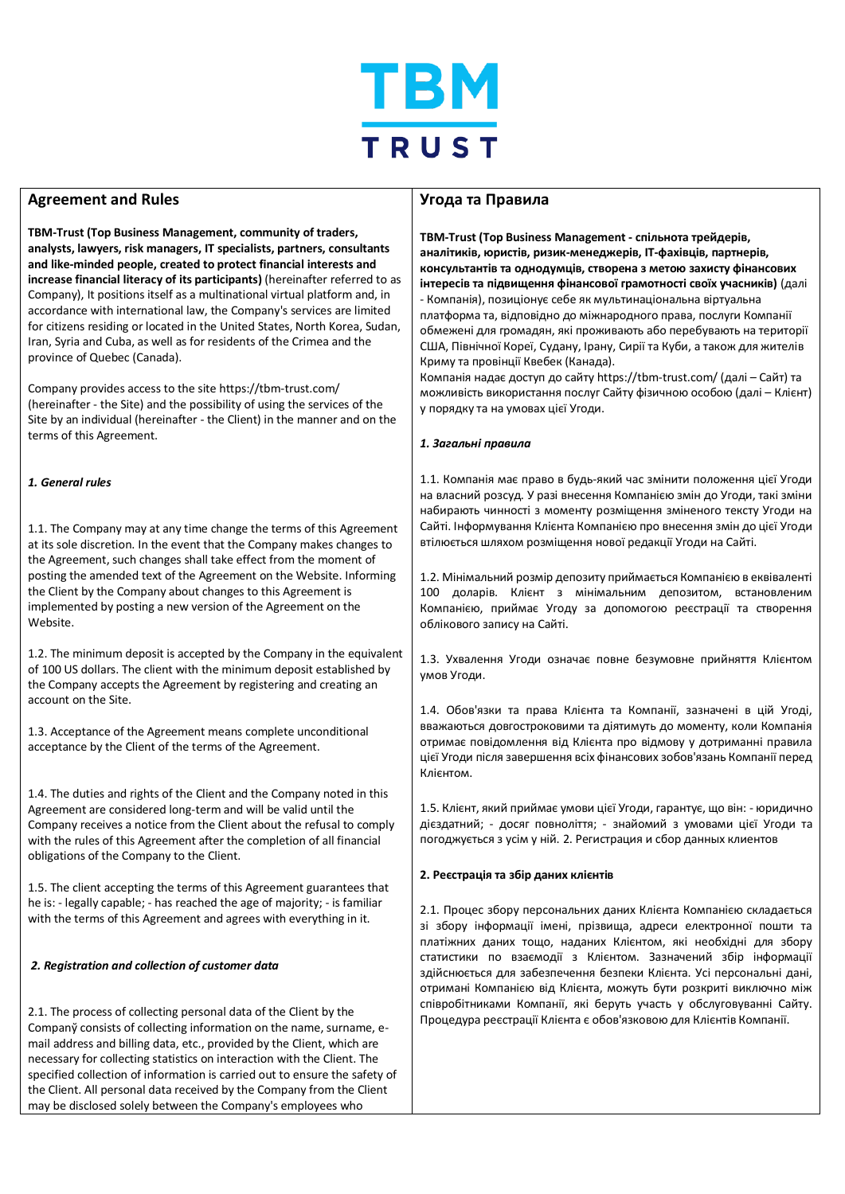

# **Agreement and Rules**

 $\overline{a}$ 

**TBM-Trust (Top Business Management, community of traders, analysts, lawyers, risk managers, IT specialists, partners, consultants and like-minded people, created to protect financial interests and increase financial literacy of its participants)** (hereinafter referred to as Company), It positions itself as a multinational virtual platform and, in accordance with international law, the Company's services are limited for citizens residing or located in the United States, North Korea, Sudan, Iran, Syria and Cuba, as well as for residents of the Crimea and the province of Quebec (Canada).

Company provides access to the site https://tbm-trust.com/ (hereinafter - the Site) and the possibility of using the services of the Site by an individual (hereinafter - the Client) in the manner and on the terms of this Agreement.

# *1. General rules*

1.1. The Company may at any time change the terms of this Agreement at its sole discretion. In the event that the Company makes changes to the Agreement, such changes shall take effect from the moment of posting the amended text of the Agreement on the Website. Informing the Client by the Company about changes to this Agreement is implemented by posting a new version of the Agreement on the Website.

1.2. The minimum deposit is accepted by the Company in the equivalent of 100 US dollars. The client with the minimum deposit established by the Company accepts the Agreement by registering and creating an account on the Site.

1.3. Acceptance of the Agreement means complete unconditional acceptance by the Client of the terms of the Agreement.

1.4. The duties and rights of the Client and the Company noted in this Agreement are considered long-term and will be valid until the Company receives a notice from the Client about the refusal to comply with the rules of this Agreement after the completion of all financial obligations of the Company to the Client.

1.5. The client accepting the terms of this Agreement guarantees that he is: - legally capable; - has reached the age of majority; - is familiar with the terms of this Agreement and agrees with everything in it.

### *2. Registration and collection of customer data*

2.1. The process of collecting personal data of the Client by the Company̆consists of collecting information on the name, surname, email address and billing data, etc., provided by the Client, which are necessary for collecting statistics on interaction with the Client. The specified collection of information is carried out to ensure the safety of the Client. All personal data received by the Company from the Client may be disclosed solely between the Company's employees who

# **Угода та Правила**

**TBM-Trust (Top Business Management - спільнота трейдерів, аналітиків, юристів, ризик-менеджерів, IT-фахівців, партнерів, консультантів та однодумців, створена з метою захисту фінансових інтересів та підвищення фінансової грамотності своїх учасників)** (далі - Компанія), позиціонує себе як мультинаціональна віртуальна платформа та, відповідно до міжнародного права, послуги Компанії обмежені для громадян, які проживають або перебувають на території США, Північної Кореї, Судану, Ірану, Сирії та Куби, а також для жителів Криму та провінції Квебек (Канада).

Компанія надає доступ до сайту https://tbm-trust.com/ (далі – Сайт) та можливість використання послуг Сайту фізичною особою (далі – Клієнт) у порядку та на умовах цієї Угоди.

#### *1. Загальні правила*

1.1. Компанія має право в будь-який час змінити положення цієї Угоди на власний розсуд. У разі внесення Компанією змін до Угоди, такі зміни набирають чинності з моменту розміщення зміненого тексту Угоди на Сайті. Інформування Клієнта Компанією про внесення змін до цієї Угоди втілюється шляхом розміщення нової редакції Угоди на Сайті.

1.2. Мінімальний розмір депозиту приймається Компанією в еквіваленті 100 доларів. Клієнт з мінімальним депозитом, встановленим Компанією, приймає Угоду за допомогою реєстрації та створення облікового запису на Сайті.

1.3. Ухвалення Угоди означає повне безумовне прийняття Клієнтом умов Угоди.

1.4. Обов'язки та права Клієнта та Компанії, зазначені в цій Угоді, вважаються довгостроковими та діятимуть до моменту, коли Компанія отримає повідомлення від Клієнта про відмову у дотриманні правила цієї Угоди після завершення всіх фінансових зобов'язань Компанії перед Клієнтом.

1.5. Клієнт, який приймає умови цієї Угоди, гарантує, що він: - юридично дієздатний; - досяг повноліття; - знайомий з умовами цієї Угоди та погоджується з усім у ній. 2. Регистрация и сбор данных клиентов

### **2. Реєстрація та збір даних клієнтів**

2.1. Процес збору персональних даних Клієнта Компанією складається зі збору інформації імені, прізвища, адреси електронної пошти та платіжних даних тощо, наданих Клієнтом, які необхідні для збору статистики по взаємодії з Клієнтом. Зазначений збір інформації здійснюється для забезпечення безпеки Клієнта. Усі персональні дані, отримані Компанією від Клієнта, можуть бути розкриті виключно між співробітниками Компанії, які беруть участь у обслуговуванні Сайту. Процедура реєстрації Клієнта є обов'язковою для Клієнтів Компанії.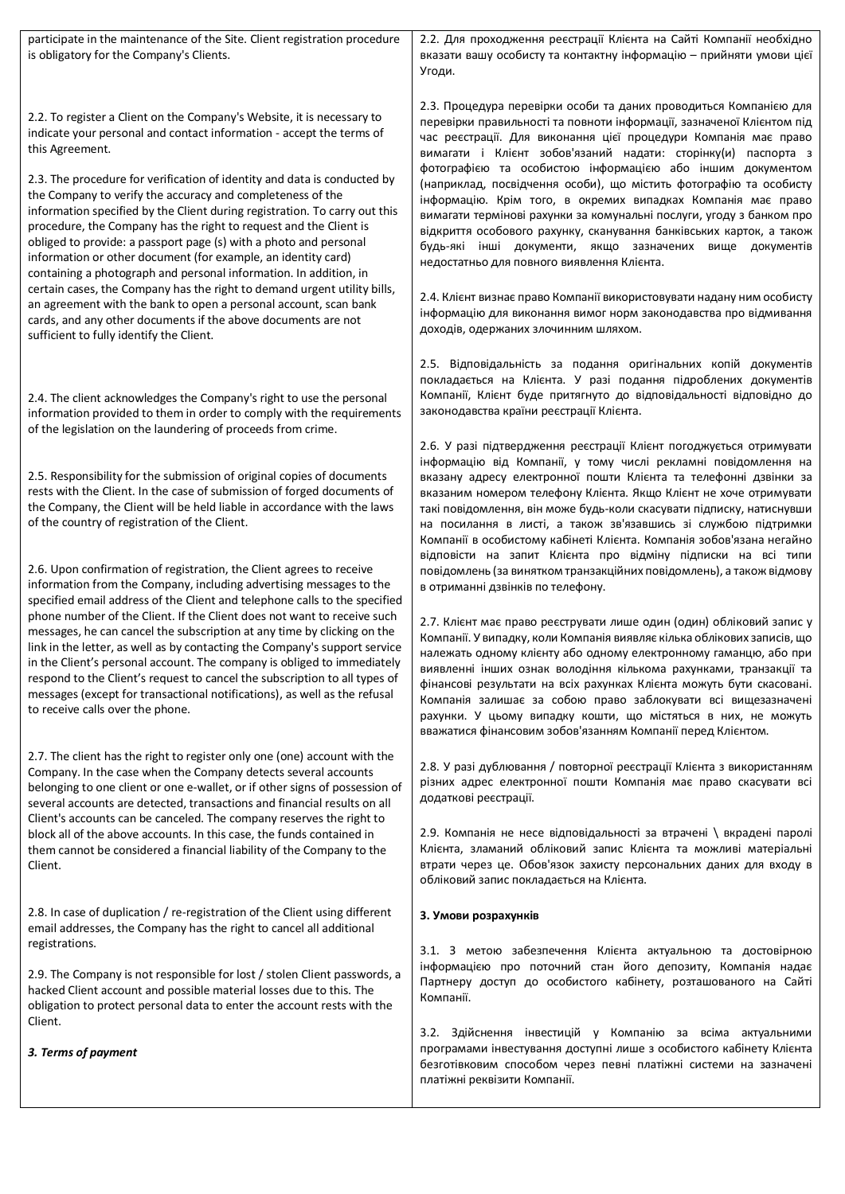| participate in the maintenance of the Site. Client registration procedure<br>is obligatory for the Company's Clients.                                                                                                                                                                                                                                                                                                                                                                                                                                                            | 2.2. Для проходження реєстрації Клієнта на Сайті Компанії необхідно<br>вказати вашу особисту та контактну інформацію - прийняти умови цієї<br>Угоди.                                                                                                                                                                                                                                                                                                                                                                                                              |
|----------------------------------------------------------------------------------------------------------------------------------------------------------------------------------------------------------------------------------------------------------------------------------------------------------------------------------------------------------------------------------------------------------------------------------------------------------------------------------------------------------------------------------------------------------------------------------|-------------------------------------------------------------------------------------------------------------------------------------------------------------------------------------------------------------------------------------------------------------------------------------------------------------------------------------------------------------------------------------------------------------------------------------------------------------------------------------------------------------------------------------------------------------------|
| 2.2. To register a Client on the Company's Website, it is necessary to<br>indicate your personal and contact information - accept the terms of<br>this Agreement.                                                                                                                                                                                                                                                                                                                                                                                                                | 2.3. Процедура перевірки особи та даних проводиться Компанією для<br>перевірки правильності та повноти інформації, зазначеної Клієнтом під<br>час реєстрації. Для виконання цієї процедури Компанія має право<br>вимагати і Клієнт зобов'язаний надати: сторінку(и) паспорта з                                                                                                                                                                                                                                                                                    |
| 2.3. The procedure for verification of identity and data is conducted by<br>the Company to verify the accuracy and completeness of the<br>information specified by the Client during registration. To carry out this<br>procedure, the Company has the right to request and the Client is<br>obliged to provide: a passport page (s) with a photo and personal<br>information or other document (for example, an identity card)<br>containing a photograph and personal information. In addition, in<br>certain cases, the Company has the right to demand urgent utility bills, | фотографією та особистою інформацією або іншим документом<br>(наприклад, посвідчення особи), що містить фотографію та особисту<br>інформацію. Крім того, в окремих випадках Компанія має право<br>вимагати термінові рахунки за комунальні послуги, угоду з банком про<br>відкриття особового рахунку, сканування банківських карток, а також<br>будь-які інші документи, якщо зазначених вище документів<br>недостатньо для повного виявлення Клієнта.<br>2.4. Клієнт визнає право Компанії використовувати надану ним особисту                                  |
| an agreement with the bank to open a personal account, scan bank<br>cards, and any other documents if the above documents are not<br>sufficient to fully identify the Client.                                                                                                                                                                                                                                                                                                                                                                                                    | інформацію для виконання вимог норм законодавства про відмивання<br>доходів, одержаних злочинним шляхом.                                                                                                                                                                                                                                                                                                                                                                                                                                                          |
| 2.4. The client acknowledges the Company's right to use the personal<br>information provided to them in order to comply with the requirements<br>of the legislation on the laundering of proceeds from crime.                                                                                                                                                                                                                                                                                                                                                                    | 2.5. Відповідальність за подання оригінальних копій документів<br>покладається на Клієнта. У разі подання підроблених документів<br>Компанії, Клієнт буде притягнуто до відповідальності відповідно до<br>законодавства країни реєстрації Клієнта.                                                                                                                                                                                                                                                                                                                |
| 2.5. Responsibility for the submission of original copies of documents<br>rests with the Client. In the case of submission of forged documents of<br>the Company, the Client will be held liable in accordance with the laws<br>of the country of registration of the Client.                                                                                                                                                                                                                                                                                                    | 2.6. У разі підтвердження реєстрації Клієнт погоджується отримувати<br>інформацію від Компанії, у тому числі рекламні повідомлення на<br>вказану адресу електронної пошти Клієнта та телефонні дзвінки за<br>вказаним номером телефону Клієнта. Якщо Клієнт не хоче отримувати<br>такі повідомлення, він може будь-коли скасувати підписку, натиснувши<br>на посилання в листі, а також зв'язавшись зі службою підтримки<br>Компанії в особистому кабінеті Клієнта. Компанія зобов'язана негайно                                                                  |
| 2.6. Upon confirmation of registration, the Client agrees to receive<br>information from the Company, including advertising messages to the<br>specified email address of the Client and telephone calls to the specified                                                                                                                                                                                                                                                                                                                                                        | відповісти на запит Клієнта про відміну підписки на всі типи<br>повідомлень (за винятком транзакційних повідомлень), а також відмову<br>в отриманні дзвінків по телефону.                                                                                                                                                                                                                                                                                                                                                                                         |
| phone number of the Client. If the Client does not want to receive such<br>messages, he can cancel the subscription at any time by clicking on the<br>link in the letter, as well as by contacting the Company's support service<br>in the Client's personal account. The company is obliged to immediately<br>respond to the Client's request to cancel the subscription to all types of<br>messages (except for transactional notifications), as well as the refusal<br>to receive calls over the phone.                                                                       | 2.7. Клієнт має право реєструвати лише один (один) обліковий запис у<br>Компанії. У випадку, коли Компанія виявляє кілька облікових записів, що<br>належать одному клієнту або одному електронному гаманцю, або при<br>виявленні інших ознак володіння кількома рахунками, транзакції та<br>фінансові результати на всіх рахунках Клієнта можуть бути скасовані.<br>Компанія залишає за собою право заблокувати всі вищезазначені<br>рахунки. У цьому випадку кошти, що містяться в них, не можуть<br>вважатися фінансовим зобов'язанням Компанії перед Клієнтом. |
| 2.7. The client has the right to register only one (one) account with the<br>Company. In the case when the Company detects several accounts<br>belonging to one client or one e-wallet, or if other signs of possession of<br>several accounts are detected, transactions and financial results on all<br>Client's accounts can be canceled. The company reserves the right to                                                                                                                                                                                                   | 2.8. У разі дублювання / повторної реєстрації Клієнта з використанням<br>різних адрес електронної пошти Компанія має право скасувати всі<br>додаткові реєстрації.                                                                                                                                                                                                                                                                                                                                                                                                 |
| block all of the above accounts. In this case, the funds contained in<br>them cannot be considered a financial liability of the Company to the<br>Client.                                                                                                                                                                                                                                                                                                                                                                                                                        | 2.9. Компанія не несе відповідальності за втрачені \ вкрадені паролі<br>Клієнта, зламаний обліковий запис Клієнта та можливі матеріальні<br>втрати через це. Обов'язок захисту персональних даних для входу в<br>обліковий запис покладається на Клієнта.                                                                                                                                                                                                                                                                                                         |
| 2.8. In case of duplication / re-registration of the Client using different<br>email addresses, the Company has the right to cancel all additional<br>registrations.                                                                                                                                                                                                                                                                                                                                                                                                             | 3. Умови розрахунків                                                                                                                                                                                                                                                                                                                                                                                                                                                                                                                                              |
| 2.9. The Company is not responsible for lost / stolen Client passwords, a<br>hacked Client account and possible material losses due to this. The<br>obligation to protect personal data to enter the account rests with the<br>Client.                                                                                                                                                                                                                                                                                                                                           | 3.1. З метою забезпечення Клієнта актуальною та достовірною<br>інформацією про поточний стан його депозиту, Компанія надає<br>Партнеру доступ до особистого кабінету, розташованого на Сайті<br>Компанії.                                                                                                                                                                                                                                                                                                                                                         |
| 3. Terms of payment                                                                                                                                                                                                                                                                                                                                                                                                                                                                                                                                                              | 3.2. Здійснення інвестицій у Компанію за всіма актуальними<br>програмами інвестування доступні лише з особистого кабінету Клієнта<br>безготівковим способом через певні платіжні системи на зазначені<br>платіжні реквізити Компанії.                                                                                                                                                                                                                                                                                                                             |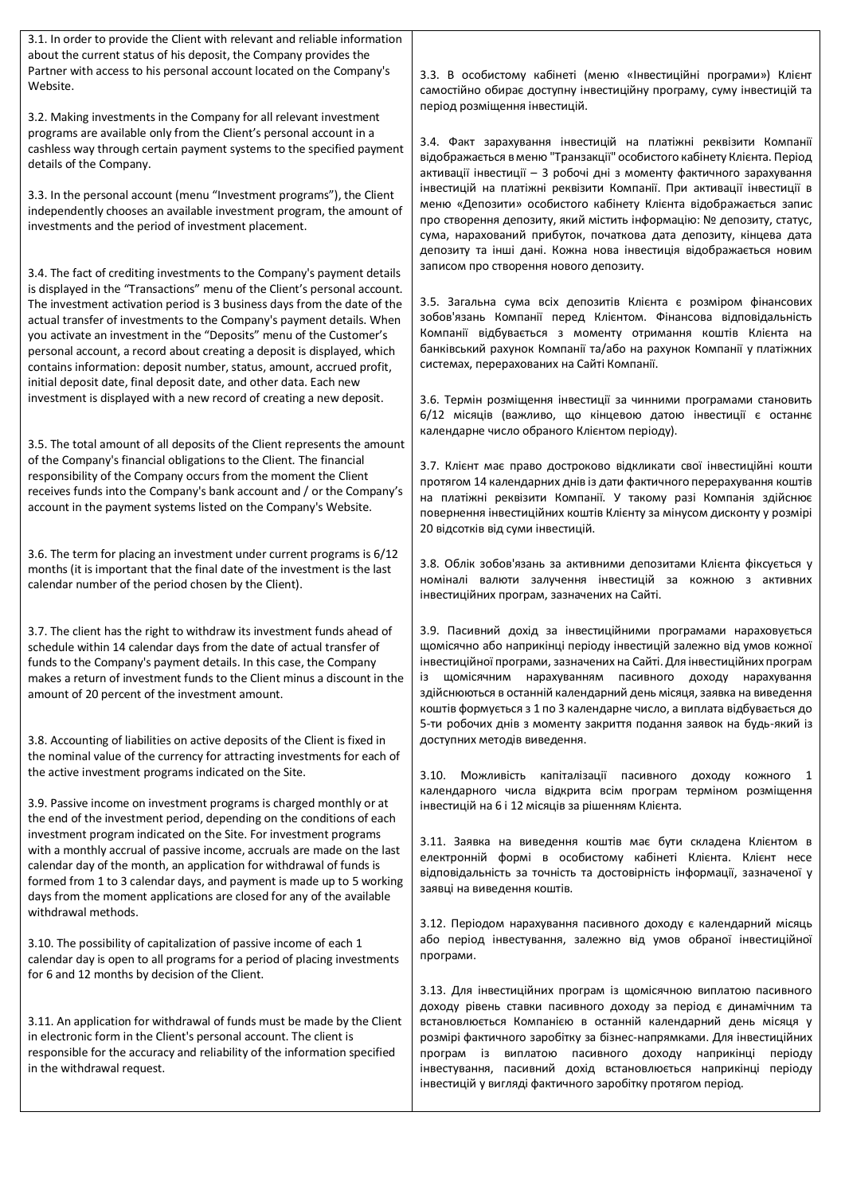3.1. In order to provide the Client with relevant and reliable information about the current status of his deposit, the Company provides the Partner with access to his personal account located on the Company's Website.

3.2. Making investments in the Company for all relevant investment programs are available only from the Client's personal account in a cashless way through certain payment systems to the specified payment details of the Company.

3.3. In the personal account (menu "Investment programs"), the Client independently chooses an available investment program, the amount of investments and the period of investment placement.

3.4. The fact of crediting investments to the Company's payment details is displayed in the "Transactions" menu of the Client's personal account. The investment activation period is 3 business days from the date of the actual transfer of investments to the Company's payment details. When you activate an investment in the "Deposits" menu of the Customer's personal account, a record about creating a deposit is displayed, which contains information: deposit number, status, amount, accrued profit, initial deposit date, final deposit date, and other data. Each new investment is displayed with a new record of creating a new deposit.

3.5. The total amount of all deposits of the Client represents the amount of the Company's financial obligations to the Client. The financial responsibility of the Company occurs from the moment the Client receives funds into the Company's bank account and / or the Company's account in the payment systems listed on the Company's Website.

3.6. The term for placing an investment under current programs is 6/12 months (it is important that the final date of the investment is the last calendar number of the period chosen by the Client).

3.7. The client has the right to withdraw its investment funds ahead of schedule within 14 calendar days from the date of actual transfer of funds to the Company's payment details. In this case, the Company makes a return of investment funds to the Client minus a discount in the amount of 20 percent of the investment amount.

3.8. Accounting of liabilities on active deposits of the Client is fixed in the nominal value of the currency for attracting investments for each of the active investment programs indicated on the Site.

3.9. Passive income on investment programs is charged monthly or at the end of the investment period, depending on the conditions of each investment program indicated on the Site. For investment programs with a monthly accrual of passive income, accruals are made on the last calendar day of the month, an application for withdrawal of funds is formed from 1 to 3 calendar days, and payment is made up to 5 working days from the moment applications are closed for any of the available withdrawal methods.

3.10. The possibility of capitalization of passive income of each 1 calendar day is open to all programs for a period of placing investments for 6 and 12 months by decision of the Client.

3.11. An application for withdrawal of funds must be made by the Client in electronic form in the Client's personal account. The client is responsible for the accuracy and reliability of the information specified in the withdrawal request.

3.3. В особистому кабінеті (меню «Інвестиційні програми») Клієнт самостійно обирає доступну інвестиційну програму, суму інвестицій та період розміщення інвестицій.

3.4. Факт зарахування інвестицій на платіжні реквізити Компанії відображається в меню "Транзакції" особистого кабінету Клієнта. Період активації інвестиції – 3 робочі дні з моменту фактичного зарахування інвестицій на платіжні реквізити Компанії. При активації інвестиції в меню «Депозити» особистого кабінету Клієнта відображається запис про створення депозиту, який містить інформацію: № депозиту, статус, сума, нарахований прибуток, початкова дата депозиту, кінцева дата депозиту та інші дані. Кожна нова інвестиція відображається новим записом про створення нового депозиту.

3.5. Загальна сума всіх депозитів Клієнта є розміром фінансових зобов'язань Компанії перед Клієнтом. Фінансова відповідальність Компанії відбувається з моменту отримання коштів Клієнта на банківський рахунок Компанії та/або на рахунок Компанії у платіжних системах, перерахованих на Сайті Компанії.

3.6. Термін розміщення інвестиції за чинними програмами становить 6/12 місяців (важливо, що кінцевою датою інвестиції є останнє календарне число обраного Клієнтом періоду).

3.7. Клієнт має право достроково відкликати свої інвестиційні кошти протягом 14 календарних днів із дати фактичного перерахування коштів на платіжні реквізити Компанії. У такому разі Компанія здійснює повернення інвестиційних коштів Клієнту за мінусом дисконту у розмірі 20 відсотків від суми інвестицій.

3.8. Облік зобов'язань за активними депозитами Клієнта фіксується у номіналі валюти залучення інвестицій за кожною з активних інвестиційних програм, зазначених на Сайті.

3.9. Пасивний дохід за інвестиційними програмами нараховується щомісячно або наприкінці періоду інвестицій залежно від умов кожної інвестиційної програми, зазначених на Сайті. Для інвестиційних програм із щомісячним нарахуванням пасивного доходу нарахування здійснюються в останній календарний день місяця, заявка на виведення коштів формується з 1 по 3 календарне число, а виплата відбувається до 5-ти робочих днів з моменту закриття подання заявок на будь-який із доступних методів виведення.

3.10. Можливість капіталізації пасивного доходу кожного 1 календарного числа відкрита всім програм терміном розміщення інвестицій на 6 і 12 місяців за рішенням Клієнта.

3.11. Заявка на виведення коштів має бути складена Клієнтом в електронній формі в особистому кабінеті Клієнта. Клієнт несе відповідальність за точність та достовірність інформації, зазначеної у заявці на виведення коштів.

3.12. Періодом нарахування пасивного доходу є календарний місяць або період інвестування, залежно від умов обраної інвестиційної програми.

3.13. Для інвестиційних програм із щомісячною виплатою пасивного доходу рівень ставки пасивного доходу за період є динамічним та встановлюється Компанією в останній календарний день місяця у розмірі фактичного заробітку за бізнес-напрямками. Для інвестиційних програм із виплатою пасивного доходу наприкінці періоду інвестування, пасивний дохід встановлюється наприкінці періоду інвестицій у вигляді фактичного заробітку протягом період.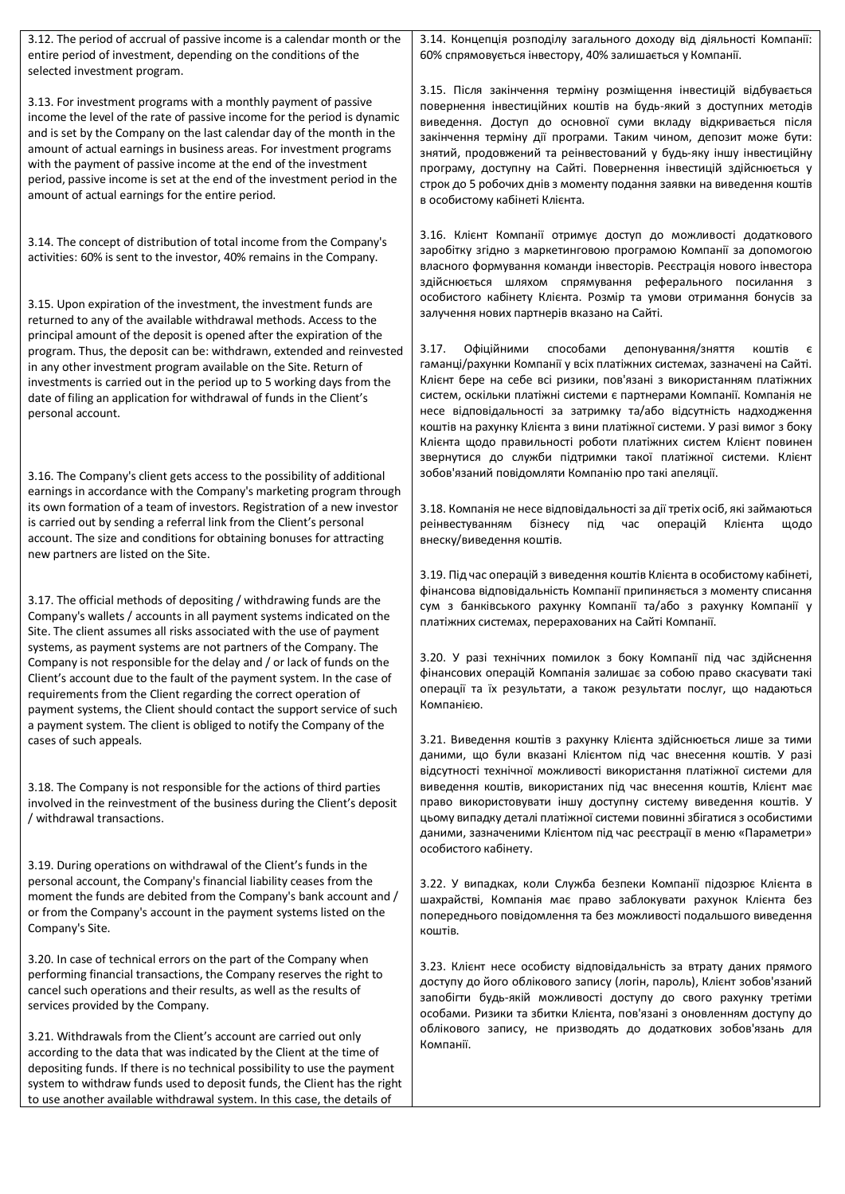| 3.12. The period of accrual of passive income is a calendar month or the<br>entire period of investment, depending on the conditions of the<br>selected investment program.                                                                                                                                                                                                                                                                                                                      | 3.14. Концепція розподілу загального доходу від діяльності Компанії:<br>60% спрямовується інвестору, 40% залишається у Компанії.                                                                                                                                                                                                                                                                                                                                                                                                                                                                                                             |
|--------------------------------------------------------------------------------------------------------------------------------------------------------------------------------------------------------------------------------------------------------------------------------------------------------------------------------------------------------------------------------------------------------------------------------------------------------------------------------------------------|----------------------------------------------------------------------------------------------------------------------------------------------------------------------------------------------------------------------------------------------------------------------------------------------------------------------------------------------------------------------------------------------------------------------------------------------------------------------------------------------------------------------------------------------------------------------------------------------------------------------------------------------|
| 3.13. For investment programs with a monthly payment of passive<br>income the level of the rate of passive income for the period is dynamic<br>and is set by the Company on the last calendar day of the month in the<br>amount of actual earnings in business areas. For investment programs<br>with the payment of passive income at the end of the investment<br>period, passive income is set at the end of the investment period in the<br>amount of actual earnings for the entire period. | 3.15. Після закінчення терміну розміщення інвестицій відбувається<br>повернення інвестиційних коштів на будь-який з доступних методів<br>виведення. Доступ до основної суми вкладу відкривається після<br>закінчення терміну дії програми. Таким чином, депозит може бути:<br>знятий, продовжений та реінвестований у будь-яку іншу інвестиційну<br>програму, доступну на Сайті. Повернення інвестицій здійснюється у<br>строк до 5 робочих днів з моменту подання заявки на виведення коштів<br>в особистому кабінеті Клієнта.                                                                                                              |
| 3.14. The concept of distribution of total income from the Company's<br>activities: 60% is sent to the investor, 40% remains in the Company.<br>3.15. Upon expiration of the investment, the investment funds are                                                                                                                                                                                                                                                                                | 3.16. Клієнт Компанії отримує доступ до можливості додаткового<br>заробітку згідно з маркетинговою програмою Компанії за допомогою<br>власного формування команди інвесторів. Реєстрація нового інвестора<br>здійснюється шляхом спрямування реферального посилання з<br>особистого кабінету Клієнта. Розмір та умови отримання бонусів за                                                                                                                                                                                                                                                                                                   |
| returned to any of the available withdrawal methods. Access to the<br>principal amount of the deposit is opened after the expiration of the<br>program. Thus, the deposit can be: withdrawn, extended and reinvested<br>in any other investment program available on the Site. Return of<br>investments is carried out in the period up to 5 working days from the<br>date of filing an application for withdrawal of funds in the Client's<br>personal account.                                 | залучення нових партнерів вказано на Сайті.<br>3.17.<br>способами<br>депонування/зняття<br>Офіційними<br>коштів<br>$\epsilon$<br>гаманці/рахунки Компанії у всіх платіжних системах, зазначені на Сайті.<br>Клієнт бере на себе всі ризики, пов'язані з використанням платіжних<br>систем, оскільки платіжні системи є партнерами Компанії. Компанія не<br>несе відповідальності за затримку та/або відсутність надходження<br>коштів на рахунку Клієнта з вини платіжної системи. У разі вимог з боку<br>Клієнта щодо правильності роботи платіжних систем Клієнт повинен<br>звернутися до служби підтримки такої платіжної системи. Клієнт |
| 3.16. The Company's client gets access to the possibility of additional<br>earnings in accordance with the Company's marketing program through<br>its own formation of a team of investors. Registration of a new investor<br>is carried out by sending a referral link from the Client's personal<br>account. The size and conditions for obtaining bonuses for attracting<br>new partners are listed on the Site.                                                                              | зобов'язаний повідомляти Компанію про такі апеляції.<br>3.18. Компанія не несе відповідальності за дії третіх осіб, які займаються<br>під<br>реінвестуванням<br>бізнесу<br>операцій<br>час<br>Клієнта<br>щодо<br>внеску/виведення коштів.                                                                                                                                                                                                                                                                                                                                                                                                    |
| 3.17. The official methods of depositing / withdrawing funds are the<br>Company's wallets / accounts in all payment systems indicated on the<br>Site. The client assumes all risks associated with the use of payment<br>systems, as payment systems are not partners of the Company. The                                                                                                                                                                                                        | 3.19. Під час операцій з виведення коштів Клієнта в особистому кабінеті,<br>фінансова відповідальність Компанії припиняється з моменту списання<br>сум з банківського рахунку Компанії та/або з рахунку Компанії у<br>платіжних системах, перерахованих на Сайті Компанії.                                                                                                                                                                                                                                                                                                                                                                   |
| Company is not responsible for the delay and / or lack of funds on the<br>Client's account due to the fault of the payment system. In the case of<br>requirements from the Client regarding the correct operation of<br>payment systems, the Client should contact the support service of such<br>a payment system. The client is obliged to notify the Company of the                                                                                                                           | 3.20. У разі технічних помилок з боку Компанії під час здійснення<br>фінансових операцій Компанія залишає за собою право скасувати такі<br>операції та їх результати, а також результати послуг, що надаються<br>Компанією.                                                                                                                                                                                                                                                                                                                                                                                                                  |
| cases of such appeals.<br>3.18. The Company is not responsible for the actions of third parties                                                                                                                                                                                                                                                                                                                                                                                                  | 3.21. Виведення коштів з рахунку Клієнта здійснюється лише за тими<br>даними, що були вказані Клієнтом під час внесення коштів. У разі<br>відсутності технічної можливості використання платіжної системи для<br>виведення коштів, використаних під час внесення коштів, Клієнт має                                                                                                                                                                                                                                                                                                                                                          |
| involved in the reinvestment of the business during the Client's deposit<br>/ withdrawal transactions.                                                                                                                                                                                                                                                                                                                                                                                           | право використовувати іншу доступну систему виведення коштів. У<br>цьому випадку деталі платіжної системи повинні збігатися з особистими<br>даними, зазначеними Клієнтом під час реєстрації в меню «Параметри»<br>особистого кабінету.                                                                                                                                                                                                                                                                                                                                                                                                       |
| 3.19. During operations on withdrawal of the Client's funds in the<br>personal account, the Company's financial liability ceases from the<br>moment the funds are debited from the Company's bank account and /<br>or from the Company's account in the payment systems listed on the<br>Company's Site.                                                                                                                                                                                         | 3.22. У випадках, коли Служба безпеки Компанії підозрює Клієнта в<br>шахрайстві, Компанія має право заблокувати рахунок Клієнта без<br>попереднього повідомлення та без можливості подальшого виведення<br>коштів.                                                                                                                                                                                                                                                                                                                                                                                                                           |
| 3.20. In case of technical errors on the part of the Company when<br>performing financial transactions, the Company reserves the right to<br>cancel such operations and their results, as well as the results of<br>services provided by the Company.                                                                                                                                                                                                                                            | 3.23. Клієнт несе особисту відповідальність за втрату даних прямого<br>доступу до його облікового запису (логін, пароль), Клієнт зобов'язаний<br>запобігти будь-якій можливості доступу до свого рахунку третіми<br>особами. Ризики та збитки Клієнта, пов'язані з оновленням доступу до                                                                                                                                                                                                                                                                                                                                                     |
| 3.21. Withdrawals from the Client's account are carried out only<br>according to the data that was indicated by the Client at the time of<br>depositing funds. If there is no technical possibility to use the payment<br>system to withdraw funds used to deposit funds, the Client has the right                                                                                                                                                                                               | облікового запису, не призводять до додаткових зобов'язань для<br>Компанії.                                                                                                                                                                                                                                                                                                                                                                                                                                                                                                                                                                  |

to use another available withdrawal system. In this case, the details of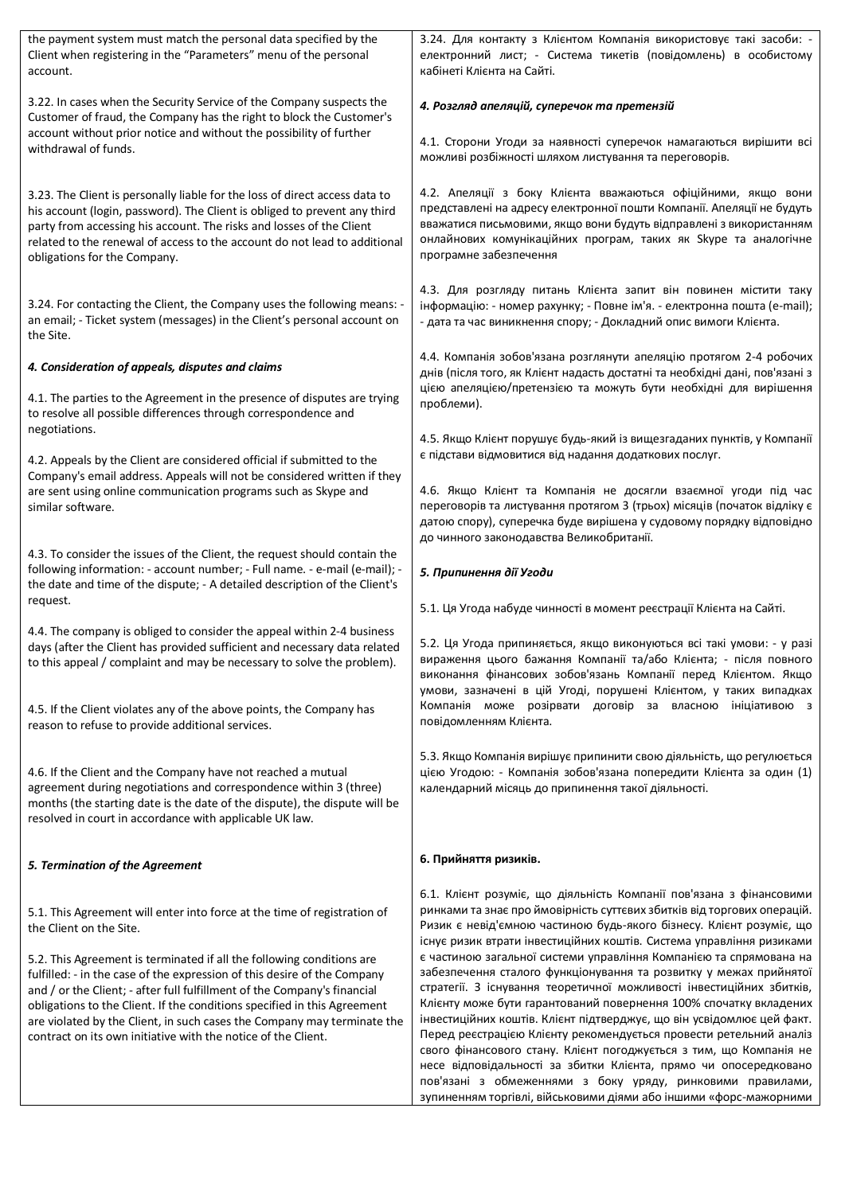| the payment system must match the personal data specified by the<br>Client when registering in the "Parameters" menu of the personal<br>account.                                                                                                                                                                                                                                                                                                                                                                                                             | 3.24. Для контакту з Клієнтом Компанія використовує такі засоби: -<br>електронний лист; - Система тикетів (повідомлень) в особистому<br>кабінеті Клієнта на Сайті.                                                                                                                                                                                                                                                                                                                                                                                                                                                                                                                                                                                                                                                                                                             |
|--------------------------------------------------------------------------------------------------------------------------------------------------------------------------------------------------------------------------------------------------------------------------------------------------------------------------------------------------------------------------------------------------------------------------------------------------------------------------------------------------------------------------------------------------------------|--------------------------------------------------------------------------------------------------------------------------------------------------------------------------------------------------------------------------------------------------------------------------------------------------------------------------------------------------------------------------------------------------------------------------------------------------------------------------------------------------------------------------------------------------------------------------------------------------------------------------------------------------------------------------------------------------------------------------------------------------------------------------------------------------------------------------------------------------------------------------------|
| 3.22. In cases when the Security Service of the Company suspects the<br>Customer of fraud, the Company has the right to block the Customer's                                                                                                                                                                                                                                                                                                                                                                                                                 | 4. Розгляд апеляцій, суперечок та претензій                                                                                                                                                                                                                                                                                                                                                                                                                                                                                                                                                                                                                                                                                                                                                                                                                                    |
| account without prior notice and without the possibility of further<br>withdrawal of funds.                                                                                                                                                                                                                                                                                                                                                                                                                                                                  | 4.1. Сторони Угоди за наявності суперечок намагаються вирішити всі<br>можливі розбіжності шляхом листування та переговорів.                                                                                                                                                                                                                                                                                                                                                                                                                                                                                                                                                                                                                                                                                                                                                    |
| 3.23. The Client is personally liable for the loss of direct access data to<br>his account (login, password). The Client is obliged to prevent any third<br>party from accessing his account. The risks and losses of the Client<br>related to the renewal of access to the account do not lead to additional<br>obligations for the Company.                                                                                                                                                                                                                | 4.2. Апеляції з боку Клієнта вважаються офіційними, якщо вони<br>представлені на адресу електронної пошти Компанії. Апеляції не будуть<br>вважатися письмовими, якщо вони будуть відправлені з використанням<br>онлайнових комунікаційних програм, таких як Skype та аналогічне<br>програмне забезпечення                                                                                                                                                                                                                                                                                                                                                                                                                                                                                                                                                                      |
| 3.24. For contacting the Client, the Company uses the following means: -<br>an email; - Ticket system (messages) in the Client's personal account on<br>the Site.                                                                                                                                                                                                                                                                                                                                                                                            | 4.3. Для розгляду питань Клієнта запит він повинен містити таку<br>інформацію: - номер рахунку; - Повне ім'я. - електронна пошта (e-mail);<br>- дата та час виникнення спору; - Докладний опис вимоги Клієнта.                                                                                                                                                                                                                                                                                                                                                                                                                                                                                                                                                                                                                                                                 |
| 4. Consideration of appeals, disputes and claims                                                                                                                                                                                                                                                                                                                                                                                                                                                                                                             | 4.4. Компанія зобов'язана розглянути апеляцію протягом 2-4 робочих<br>днів (після того, як Клієнт надасть достатні та необхідні дані, пов'язані з<br>цією апеляцією/претензією та можуть бути необхідні для вирішення                                                                                                                                                                                                                                                                                                                                                                                                                                                                                                                                                                                                                                                          |
| 4.1. The parties to the Agreement in the presence of disputes are trying<br>to resolve all possible differences through correspondence and<br>negotiations.                                                                                                                                                                                                                                                                                                                                                                                                  | проблеми).                                                                                                                                                                                                                                                                                                                                                                                                                                                                                                                                                                                                                                                                                                                                                                                                                                                                     |
| 4.2. Appeals by the Client are considered official if submitted to the<br>Company's email address. Appeals will not be considered written if they                                                                                                                                                                                                                                                                                                                                                                                                            | 4.5. Якщо Клієнт порушує будь-який із вищезгаданих пунктів, у Компанії<br>є підстави відмовитися від надання додаткових послуг.                                                                                                                                                                                                                                                                                                                                                                                                                                                                                                                                                                                                                                                                                                                                                |
| are sent using online communication programs such as Skype and<br>similar software.                                                                                                                                                                                                                                                                                                                                                                                                                                                                          | 4.6. Якщо Клієнт та Компанія не досягли взаємної угоди під час<br>переговорів та листування протягом 3 (трьох) місяців (початок відліку є<br>датою спору), суперечка буде вирішена у судовому порядку відповідно<br>до чинного законодавства Великобританії.                                                                                                                                                                                                                                                                                                                                                                                                                                                                                                                                                                                                                   |
| 4.3. To consider the issues of the Client, the request should contain the<br>following information: - account number; - Full name. - e-mail (e-mail); -<br>the date and time of the dispute; - A detailed description of the Client's<br>request.                                                                                                                                                                                                                                                                                                            | 5. Припинення дії Угоди                                                                                                                                                                                                                                                                                                                                                                                                                                                                                                                                                                                                                                                                                                                                                                                                                                                        |
|                                                                                                                                                                                                                                                                                                                                                                                                                                                                                                                                                              | 5.1. Ця Угода набуде чинності в момент реєстрації Клієнта на Сайті.                                                                                                                                                                                                                                                                                                                                                                                                                                                                                                                                                                                                                                                                                                                                                                                                            |
| 4.4. The company is obliged to consider the appeal within 2-4 business<br>days (after the Client has provided sufficient and necessary data related<br>to this appeal / complaint and may be necessary to solve the problem).                                                                                                                                                                                                                                                                                                                                | 5.2. Ця Угода припиняється, якщо виконуються всі такі умови: - у разі<br>вираження цього бажання Компанії та/або Клієнта; - після повного<br>виконання фінансових зобов'язань Компанії перед Клієнтом. Якщо<br>умови, зазначені в цій Угоді, порушені Клієнтом, у таких випадках<br>Компанія може розірвати договір за власною ініціативою з                                                                                                                                                                                                                                                                                                                                                                                                                                                                                                                                   |
| 4.5. If the Client violates any of the above points, the Company has<br>reason to refuse to provide additional services.                                                                                                                                                                                                                                                                                                                                                                                                                                     | повідомленням Клієнта.                                                                                                                                                                                                                                                                                                                                                                                                                                                                                                                                                                                                                                                                                                                                                                                                                                                         |
| 4.6. If the Client and the Company have not reached a mutual<br>agreement during negotiations and correspondence within 3 (three)<br>months (the starting date is the date of the dispute), the dispute will be<br>resolved in court in accordance with applicable UK law.                                                                                                                                                                                                                                                                                   | 5.3. Якщо Компанія вирішує припинити свою діяльність, що регулюється<br>цією Угодою: - Компанія зобов'язана попередити Клієнта за один (1)<br>календарний місяць до припинення такої діяльності.                                                                                                                                                                                                                                                                                                                                                                                                                                                                                                                                                                                                                                                                               |
| 5. Termination of the Agreement                                                                                                                                                                                                                                                                                                                                                                                                                                                                                                                              | 6. Прийняття ризиків.                                                                                                                                                                                                                                                                                                                                                                                                                                                                                                                                                                                                                                                                                                                                                                                                                                                          |
| 5.1. This Agreement will enter into force at the time of registration of<br>the Client on the Site.<br>5.2. This Agreement is terminated if all the following conditions are<br>fulfilled: - in the case of the expression of this desire of the Company<br>and / or the Client; - after full fulfillment of the Company's financial<br>obligations to the Client. If the conditions specified in this Agreement<br>are violated by the Client, in such cases the Company may terminate the<br>contract on its own initiative with the notice of the Client. | 6.1. Клієнт розуміє, що діяльність Компанії пов'язана з фінансовими<br>ринками та знає про ймовірність суттєвих збитків від торгових операцій.<br>Ризик є невід'ємною частиною будь-якого бізнесу. Клієнт розуміє, що<br>існує ризик втрати інвестиційних коштів. Система управління ризиками<br>є частиною загальної системи управління Компанією та спрямована на<br>забезпечення сталого функціонування та розвитку у межах прийнятої<br>стратегії. З існування теоретичної можливості інвестиційних збитків,<br>Клієнту може бути гарантований повернення 100% спочатку вкладених<br>інвестиційних коштів. Клієнт підтверджує, що він усвідомлює цей факт.<br>Перед реєстрацією Клієнту рекомендується провести ретельний аналіз<br>свого фінансового стану. Клієнт погоджується з тим, що Компанія не<br>несе відповідальності за збитки Клієнта, прямо чи опосередковано |
|                                                                                                                                                                                                                                                                                                                                                                                                                                                                                                                                                              | пов'язані з обмеженнями з боку уряду, ринковими правилами,<br>зупиненням торгівлі, військовими діями або іншими «форс-мажорними                                                                                                                                                                                                                                                                                                                                                                                                                                                                                                                                                                                                                                                                                                                                                |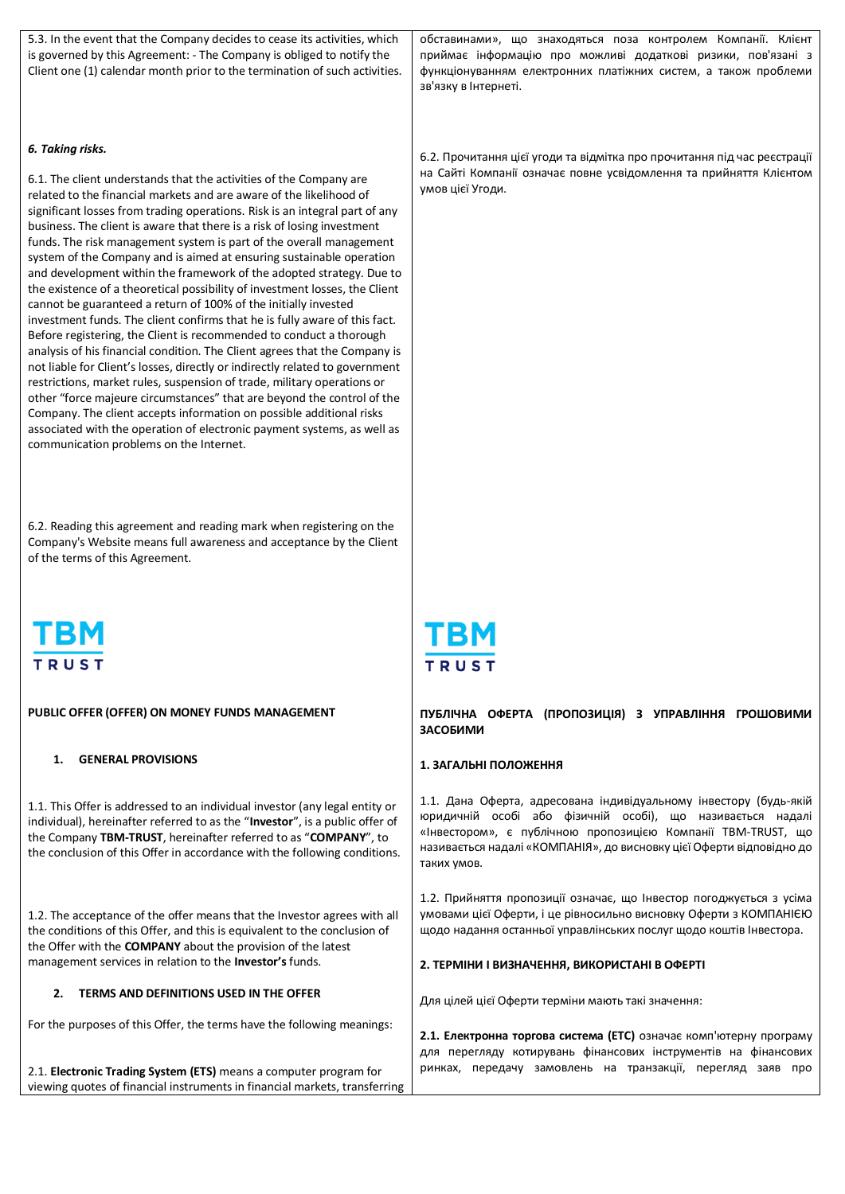5.3. In the event that the Company decides to cease its activities, which is governed by this Agreement: - The Company is obliged to notify the Client one (1) calendar month prior to the termination of such activities.

#### *6. Taking risks.*

6.1. The client understands that the activities of the Company are related to the financial markets and are aware of the likelihood of significant losses from trading operations. Risk is an integral part of any business. The client is aware that there is a risk of losing investment funds. The risk management system is part of the overall management system of the Company and is aimed at ensuring sustainable operation and development within the framework of the adopted strategy. Due to the existence of a theoretical possibility of investment losses, the Client cannot be guaranteed a return of 100% of the initially invested investment funds. The client confirms that he is fully aware of this fact. Before registering, the Client is recommended to conduct a thorough analysis of his financial condition. The Client agrees that the Company is not liable for Client's losses, directly or indirectly related to government restrictions, market rules, suspension of trade, military operations or other "force majeure circumstances" that are beyond the control of the Company. The client accepts information on possible additional risks associated with the operation of electronic payment systems, as well as communication problems on the Internet.

6.2. Reading this agreement and reading mark when registering on the Company's Website means full awareness and acceptance by the Client of the terms of this Agreement.



**PUBLIC OFFER (OFFER) ON MONEY FUNDS MANAGEMENT**

#### **1. GENERAL PROVISIONS**

1.1. This Offer is addressed to an individual investor (any legal entity or individual), hereinafter referred to as the "**Investor**", is a public offer of the Company **TBM-TRUST**, hereinafter referred to as "**COMPANY**", to the conclusion of this Offer in accordance with the following conditions.

1.2. The acceptance of the offer means that the Investor agrees with all the conditions of this Offer, and this is equivalent to the conclusion of the Offer with the **COMPANY** about the provision of the latest management services in relation to the **Investor's** funds.

#### **2. TERMS AND DEFINITIONS USED IN THE OFFER**

For the purposes of this Offer, the terms have the following meanings:

2.1. **Electronic Trading System (ETS)** means a computer program for viewing quotes of financial instruments in financial markets, transferring

обставинами», що знаходяться поза контролем Компанії. Клієнт приймає інформацію про можливі додаткові ризики, пов'язані з функціонуванням електронних платіжних систем, а також проблеми зв'язку в Інтернеті.

6.2. Прочитання цієї угоди та відмітка про прочитання під час реєстрації на Сайті Компанії означає повне усвідомлення та прийняття Клієнтом умов цієї Угоди.

# TBM **TRUST**

### **ПУБЛІЧНА ОФЕРТА (ПРОПОЗИЦІЯ) З УПРАВЛІННЯ ГРОШОВИМИ ЗАСОБИМИ**

#### **1. ЗАГАЛЬНІ ПОЛОЖЕННЯ**

1.1. Дана Оферта, адресована індивідуальному інвестору (будь-якій юридичній особі або фізичній особі), що називається надалі «Інвестором», є публічною пропозицією Компанії TBM-TRUST, що називається надалі «КОМПАНІЯ», до висновку цієї Оферти відповідно до таких умов.

1.2. Прийняття пропозиції означає, що Інвестор погоджується з усіма умовами цієї Оферти, і це рівносильно висновку Оферти з КОМПАНІЄЮ щодо надання останньої управлінських послуг щодо коштів Інвестора.

#### **2. ТЕРМІНИ І ВИЗНАЧЕННЯ, ВИКОРИСТАНІ В ОФЕРТІ**

Для цілей цієї Оферти терміни мають такі значення:

**2.1. Електронна торгова система (ЕТС)** означає комп'ютерну програму для перегляду котирувань фінансових інструментів на фінансових ринках, передачу замовлень на транзакції, перегляд заяв про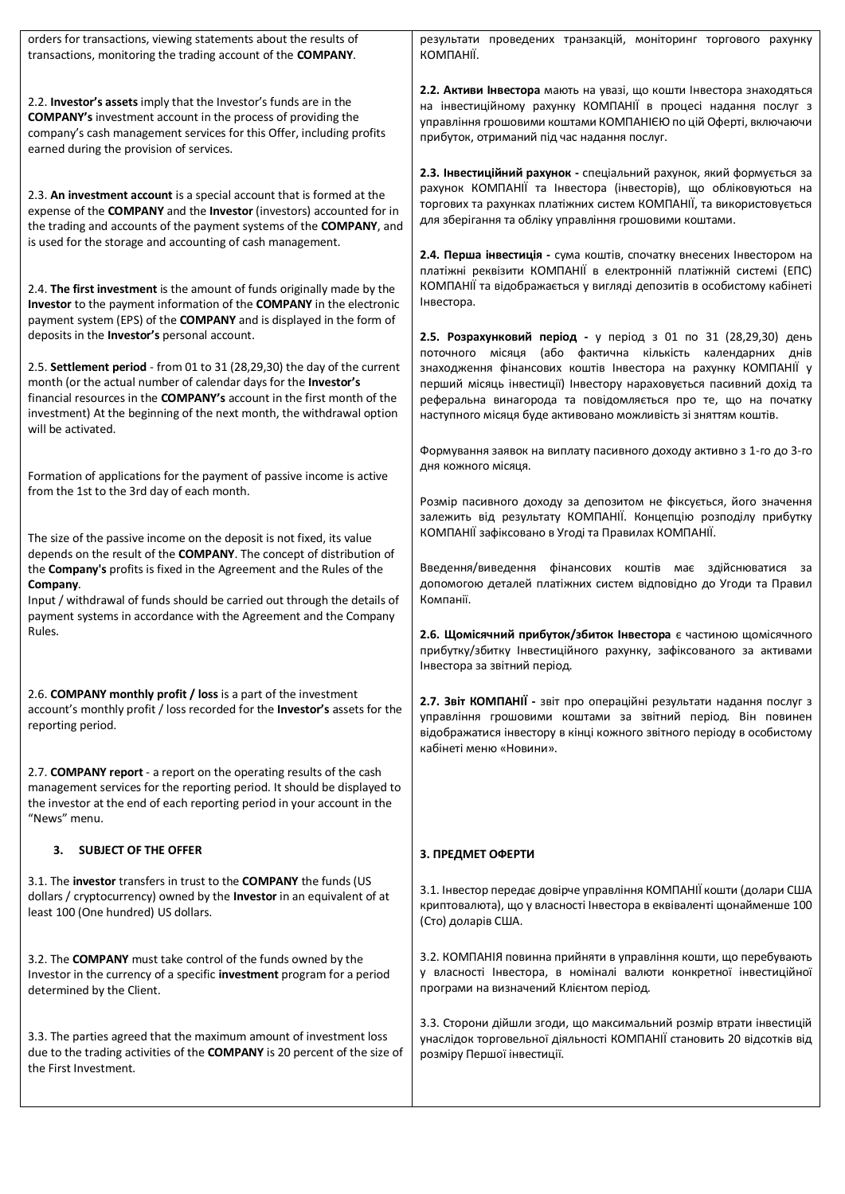| orders for transactions, viewing statements about the results of                                                                                                                                                                                                                                                                                                                            | результати проведених транзакцій, моніторинг торгового рахунку                                                                                                                                                                                                                                                                                                                                                                                                                   |
|---------------------------------------------------------------------------------------------------------------------------------------------------------------------------------------------------------------------------------------------------------------------------------------------------------------------------------------------------------------------------------------------|----------------------------------------------------------------------------------------------------------------------------------------------------------------------------------------------------------------------------------------------------------------------------------------------------------------------------------------------------------------------------------------------------------------------------------------------------------------------------------|
| transactions, monitoring the trading account of the COMPANY.                                                                                                                                                                                                                                                                                                                                | КОМПАНІЇ.                                                                                                                                                                                                                                                                                                                                                                                                                                                                        |
| 2.2. Investor's assets imply that the Investor's funds are in the                                                                                                                                                                                                                                                                                                                           | 2.2. Активи Інвестора мають на увазі, що кошти Інвестора знаходяться                                                                                                                                                                                                                                                                                                                                                                                                             |
| <b>COMPANY's investment account in the process of providing the</b>                                                                                                                                                                                                                                                                                                                         | на інвестиційному рахунку КОМПАНІЇ в процесі надання послуг з                                                                                                                                                                                                                                                                                                                                                                                                                    |
| company's cash management services for this Offer, including profits                                                                                                                                                                                                                                                                                                                        | управління грошовими коштами КОМПАНІЄЮ по цій Оферті, включаючи                                                                                                                                                                                                                                                                                                                                                                                                                  |
| earned during the provision of services.                                                                                                                                                                                                                                                                                                                                                    | прибуток, отриманий під час надання послуг.                                                                                                                                                                                                                                                                                                                                                                                                                                      |
| 2.3. An investment account is a special account that is formed at the<br>expense of the COMPANY and the Investor (investors) accounted for in<br>the trading and accounts of the payment systems of the COMPANY, and<br>is used for the storage and accounting of cash management.                                                                                                          | 2.3. Інвестиційний рахунок - спеціальний рахунок, який формується за<br>рахунок КОМПАНІЇ та Інвестора (інвесторів), що обліковуються на<br>торгових та рахунках платіжних систем КОМПАНІЇ, та використовується<br>для зберігання та обліку управління грошовими коштами.<br>2.4. Перша інвестиція - сума коштів, спочатку внесених Інвестором на                                                                                                                                 |
| 2.4. The first investment is the amount of funds originally made by the                                                                                                                                                                                                                                                                                                                     | платіжні реквізити КОМПАНІЇ в електронній платіжній системі (ЕПС)                                                                                                                                                                                                                                                                                                                                                                                                                |
| Investor to the payment information of the COMPANY in the electronic                                                                                                                                                                                                                                                                                                                        | КОМПАНІЇ та відображається у вигляді депозитів в особистому кабінеті                                                                                                                                                                                                                                                                                                                                                                                                             |
| payment system (EPS) of the COMPANY and is displayed in the form of                                                                                                                                                                                                                                                                                                                         | Інвестора.                                                                                                                                                                                                                                                                                                                                                                                                                                                                       |
| deposits in the Investor's personal account.<br>2.5. Settlement period - from 01 to 31 (28,29,30) the day of the current<br>month (or the actual number of calendar days for the Investor's<br>financial resources in the COMPANY's account in the first month of the<br>investment) At the beginning of the next month, the withdrawal option<br>will be activated.                        | 2.5. Розрахунковий період - у період з 01 по 31 (28,29,30) день<br>поточного місяця<br>(або фактична кількість календарних днів<br>знаходження фінансових коштів Інвестора на рахунку КОМПАНІЇ у<br>перший місяць інвестиції) Інвестору нараховується пасивний дохід та<br>реферальна винагорода та повідомляється про те, що на початку<br>наступного місяця буде активовано можливість зі зняттям коштів.                                                                      |
| Formation of applications for the payment of passive income is active                                                                                                                                                                                                                                                                                                                       | Формування заявок на виплату пасивного доходу активно з 1-го до 3-го                                                                                                                                                                                                                                                                                                                                                                                                             |
| from the 1st to the 3rd day of each month.                                                                                                                                                                                                                                                                                                                                                  | дня кожного місяця.                                                                                                                                                                                                                                                                                                                                                                                                                                                              |
| The size of the passive income on the deposit is not fixed, its value<br>depends on the result of the COMPANY. The concept of distribution of<br>the Company's profits is fixed in the Agreement and the Rules of the<br>Company.<br>Input / withdrawal of funds should be carried out through the details of<br>payment systems in accordance with the Agreement and the Company<br>Rules. | Розмір пасивного доходу за депозитом не фіксується, його значення<br>залежить від результату КОМПАНІЇ. Концепцію розподілу прибутку<br>КОМПАНІЇ зафіксовано в Угоді та Правилах КОМПАНІЇ.<br>Введення/виведення фінансових коштів має здійснюватися за<br>допомогою деталей платіжних систем відповідно до Угоди та Правил<br>Компанії.<br>2.6. Щомісячний прибуток/збиток Інвестора є частиною щомісячного<br>прибутку/збитку Інвестиційного рахунку, зафіксованого за активами |
| 2.6. COMPANY monthly profit / loss is a part of the investment<br>account's monthly profit / loss recorded for the Investor's assets for the<br>reporting period.                                                                                                                                                                                                                           | Інвестора за звітний період.<br>2.7. Звіт КОМПАНІЇ - звіт про операційні результати надання послуг з<br>управління грошовими коштами за звітний період. Він повинен<br>відображатися інвестору в кінці кожного звітного періоду в особистому<br>кабінеті меню «Новини».                                                                                                                                                                                                          |
| 2.7. COMPANY report - a report on the operating results of the cash<br>management services for the reporting period. It should be displayed to<br>the investor at the end of each reporting period in your account in the<br>"News" menu.                                                                                                                                                   |                                                                                                                                                                                                                                                                                                                                                                                                                                                                                  |
| <b>SUBJECT OF THE OFFER</b><br>з.                                                                                                                                                                                                                                                                                                                                                           | 3. ПРЕДМЕТ ОФЕРТИ                                                                                                                                                                                                                                                                                                                                                                                                                                                                |
| 3.1. The investor transfers in trust to the COMPANY the funds (US                                                                                                                                                                                                                                                                                                                           | 3.1. Інвестор передає довірче управління КОМПАНІЇ кошти (долари США                                                                                                                                                                                                                                                                                                                                                                                                              |
| dollars / cryptocurrency) owned by the Investor in an equivalent of at                                                                                                                                                                                                                                                                                                                      | криптовалюта), що у власності Інвестора в еквіваленті щонайменше 100                                                                                                                                                                                                                                                                                                                                                                                                             |
| least 100 (One hundred) US dollars.                                                                                                                                                                                                                                                                                                                                                         | (Сто) доларів США.                                                                                                                                                                                                                                                                                                                                                                                                                                                               |
| 3.2. The COMPANY must take control of the funds owned by the                                                                                                                                                                                                                                                                                                                                | 3.2. КОМПАНІЯ повинна прийняти в управління кошти, що перебувають                                                                                                                                                                                                                                                                                                                                                                                                                |
| Investor in the currency of a specific investment program for a period                                                                                                                                                                                                                                                                                                                      | у власності Інвестора, в номіналі валюти конкретної інвестиційної                                                                                                                                                                                                                                                                                                                                                                                                                |
| determined by the Client.                                                                                                                                                                                                                                                                                                                                                                   | програми на визначений Клієнтом період.                                                                                                                                                                                                                                                                                                                                                                                                                                          |
| 3.3. The parties agreed that the maximum amount of investment loss                                                                                                                                                                                                                                                                                                                          | 3.3. Сторони дійшли згоди, що максимальний розмір втрати інвестицій                                                                                                                                                                                                                                                                                                                                                                                                              |
| due to the trading activities of the COMPANY is 20 percent of the size of                                                                                                                                                                                                                                                                                                                   | унаслідок торговельної діяльності КОМПАНІЇ становить 20 відсотків від                                                                                                                                                                                                                                                                                                                                                                                                            |
| the First Investment.                                                                                                                                                                                                                                                                                                                                                                       | розміру Першої інвестиції.                                                                                                                                                                                                                                                                                                                                                                                                                                                       |
|                                                                                                                                                                                                                                                                                                                                                                                             |                                                                                                                                                                                                                                                                                                                                                                                                                                                                                  |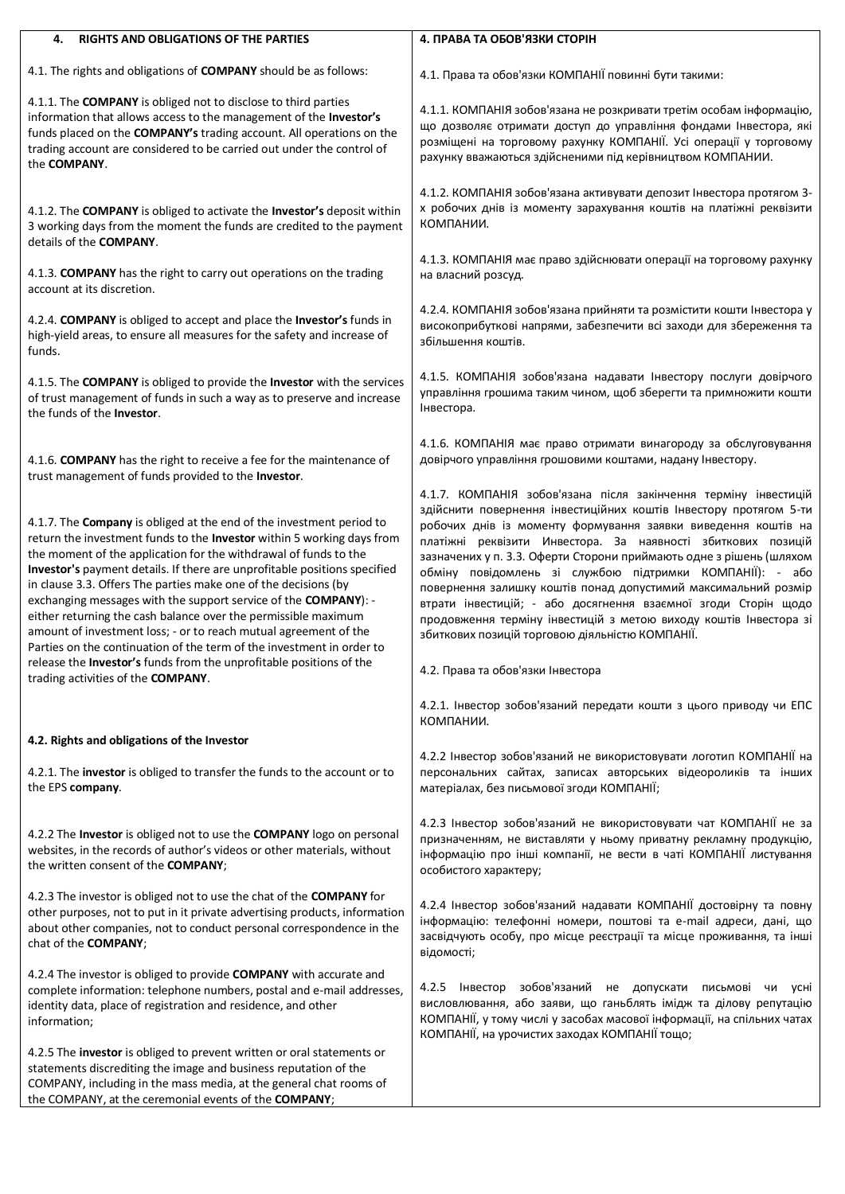| <b>RIGHTS AND OBLIGATIONS OF THE PARTIES</b><br>4.                                                                                                                                                                                                                                                                                                                                                                                                                                                                                                                                                                                                   | 4. ПРАВА ТА ОБОВ'ЯЗКИ СТОРІН                                                                                                                                                                                                                                                                                                                                                                                                                                                                                                                                                                                                                                         |
|------------------------------------------------------------------------------------------------------------------------------------------------------------------------------------------------------------------------------------------------------------------------------------------------------------------------------------------------------------------------------------------------------------------------------------------------------------------------------------------------------------------------------------------------------------------------------------------------------------------------------------------------------|----------------------------------------------------------------------------------------------------------------------------------------------------------------------------------------------------------------------------------------------------------------------------------------------------------------------------------------------------------------------------------------------------------------------------------------------------------------------------------------------------------------------------------------------------------------------------------------------------------------------------------------------------------------------|
| 4.1. The rights and obligations of COMPANY should be as follows:                                                                                                                                                                                                                                                                                                                                                                                                                                                                                                                                                                                     | 4.1. Права та обов'язки КОМПАНІЇ повинні бути такими:                                                                                                                                                                                                                                                                                                                                                                                                                                                                                                                                                                                                                |
| 4.1.1. The COMPANY is obliged not to disclose to third parties<br>information that allows access to the management of the Investor's<br>funds placed on the COMPANY's trading account. All operations on the<br>trading account are considered to be carried out under the control of<br>the <b>COMPANY</b> .                                                                                                                                                                                                                                                                                                                                        | 4.1.1. КОМПАНІЯ зобов'язана не розкривати третім особам інформацію,<br>що дозволяє отримати доступ до управління фондами Інвестора, які<br>розміщені на торговому рахунку КОМПАНІЇ. Усі операції у торговому<br>рахунку вважаються здійсненими під керівництвом КОМПАНИИ.                                                                                                                                                                                                                                                                                                                                                                                            |
| 4.1.2. The COMPANY is obliged to activate the Investor's deposit within<br>3 working days from the moment the funds are credited to the payment<br>details of the <b>COMPANY</b> .                                                                                                                                                                                                                                                                                                                                                                                                                                                                   | 4.1.2. КОМПАНІЯ зобов'язана активувати депозит Інвестора протягом 3-<br>х робочих днів із моменту зарахування коштів на платіжні реквізити<br>КОМПАНИИ.                                                                                                                                                                                                                                                                                                                                                                                                                                                                                                              |
| 4.1.3. COMPANY has the right to carry out operations on the trading<br>account at its discretion.                                                                                                                                                                                                                                                                                                                                                                                                                                                                                                                                                    | 4.1.3. КОМПАНІЯ має право здійснювати операції на торговому рахунку<br>на власний розсуд.                                                                                                                                                                                                                                                                                                                                                                                                                                                                                                                                                                            |
| 4.2.4. COMPANY is obliged to accept and place the Investor's funds in<br>high-yield areas, to ensure all measures for the safety and increase of<br>funds.                                                                                                                                                                                                                                                                                                                                                                                                                                                                                           | 4.2.4. КОМПАНІЯ зобов'язана прийняти та розмістити кошти Інвестора у<br>високоприбуткові напрями, забезпечити всі заходи для збереження та<br>збільшення коштів.                                                                                                                                                                                                                                                                                                                                                                                                                                                                                                     |
| 4.1.5. The COMPANY is obliged to provide the Investor with the services<br>of trust management of funds in such a way as to preserve and increase<br>the funds of the <b>Investor</b> .                                                                                                                                                                                                                                                                                                                                                                                                                                                              | 4.1.5. КОМПАНІЯ зобов'язана надавати Інвестору послуги довірчого<br>управління грошима таким чином, щоб зберегти та примножити кошти<br>Інвестора.                                                                                                                                                                                                                                                                                                                                                                                                                                                                                                                   |
| 4.1.6. COMPANY has the right to receive a fee for the maintenance of<br>trust management of funds provided to the Investor.                                                                                                                                                                                                                                                                                                                                                                                                                                                                                                                          | 4.1.6. КОМПАНІЯ має право отримати винагороду за обслуговування<br>довірчого управління грошовими коштами, надану Інвестору.                                                                                                                                                                                                                                                                                                                                                                                                                                                                                                                                         |
| 4.1.7. The Company is obliged at the end of the investment period to<br>return the investment funds to the Investor within 5 working days from<br>the moment of the application for the withdrawal of funds to the<br>Investor's payment details. If there are unprofitable positions specified<br>in clause 3.3. Offers The parties make one of the decisions (by<br>exchanging messages with the support service of the COMPANY): -<br>either returning the cash balance over the permissible maximum<br>amount of investment loss; - or to reach mutual agreement of the<br>Parties on the continuation of the term of the investment in order to | 4.1.7. КОМПАНІЯ зобов'язана після закінчення терміну інвестицій<br>здійснити повернення інвестиційних коштів Інвестору протягом 5-ти<br>робочих днів із моменту формування заявки виведення коштів на<br>платіжні реквізити Инвестора. За наявності збиткових позицій<br>зазначених у п. 3.3. Оферти Сторони приймають одне з рішень (шляхом<br>обміну повідомлень зі службою підтримки КОМПАНІЇ): - або<br>повернення залишку коштів понад допустимий максимальний розмір<br>втрати інвестицій; - або досягнення взаємної згоди Сторін щодо<br>продовження терміну інвестицій з метою виходу коштів Інвестора зі<br>збиткових позицій торговою діяльністю КОМПАНІЇ. |
| release the <b>Investor's</b> funds from the unprofitable positions of the<br>trading activities of the COMPANY.                                                                                                                                                                                                                                                                                                                                                                                                                                                                                                                                     | 4.2. Права та обов'язки Інвестора                                                                                                                                                                                                                                                                                                                                                                                                                                                                                                                                                                                                                                    |
|                                                                                                                                                                                                                                                                                                                                                                                                                                                                                                                                                                                                                                                      | 4.2.1. Інвестор зобов'язаний передати кошти з цього приводу чи ЕПС<br>КОМПАНИИ.                                                                                                                                                                                                                                                                                                                                                                                                                                                                                                                                                                                      |
| 4.2. Rights and obligations of the Investor<br>4.2.1. The investor is obliged to transfer the funds to the account or to<br>the EPS company.                                                                                                                                                                                                                                                                                                                                                                                                                                                                                                         | 4.2.2 Інвестор зобов'язаний не використовувати логотип КОМПАНІЇ на<br>персональних сайтах, записах авторських відеороликів та інших<br>матеріалах, без письмової згоди КОМПАНІЇ;                                                                                                                                                                                                                                                                                                                                                                                                                                                                                     |
| 4.2.2 The Investor is obliged not to use the COMPANY logo on personal<br>websites, in the records of author's videos or other materials, without<br>the written consent of the COMPANY;                                                                                                                                                                                                                                                                                                                                                                                                                                                              | 4.2.3 Інвестор зобов'язаний не використовувати чат КОМПАНІЇ не за<br>призначенням, не виставляти у ньому приватну рекламну продукцію,<br>інформацію про інші компанії, не вести в чаті КОМПАНІЇ листування<br>особистого характеру;                                                                                                                                                                                                                                                                                                                                                                                                                                  |
| 4.2.3 The investor is obliged not to use the chat of the COMPANY for<br>other purposes, not to put in it private advertising products, information<br>about other companies, not to conduct personal correspondence in the<br>chat of the <b>COMPANY</b> ;                                                                                                                                                                                                                                                                                                                                                                                           | 4.2.4 Інвестор зобов'язаний надавати КОМПАНІЇ достовірну та повну<br>інформацію: телефонні номери, поштові та e-mail адреси, дані, що<br>засвідчують особу, про місце реєстрації та місце проживання, та інші<br>відомості;                                                                                                                                                                                                                                                                                                                                                                                                                                          |
| 4.2.4 The investor is obliged to provide COMPANY with accurate and<br>complete information: telephone numbers, postal and e-mail addresses,<br>identity data, place of registration and residence, and other<br>information;                                                                                                                                                                                                                                                                                                                                                                                                                         | 4.2.5 Інвестор зобов'язаний<br>не допускати<br>письмові чи усні<br>висловлювання, або заяви, що ганьблять імідж та ділову репутацію<br>КОМПАНІЇ, у тому числі у засобах масової інформації, на спільних чатах<br>КОМПАНІЇ, на урочистих заходах КОМПАНІЇ тощо;                                                                                                                                                                                                                                                                                                                                                                                                       |
| 4.2.5 The investor is obliged to prevent written or oral statements or<br>statements discrediting the image and business reputation of the<br>COMPANY, including in the mass media, at the general chat rooms of<br>the COMPANY, at the ceremonial events of the COMPANY;                                                                                                                                                                                                                                                                                                                                                                            |                                                                                                                                                                                                                                                                                                                                                                                                                                                                                                                                                                                                                                                                      |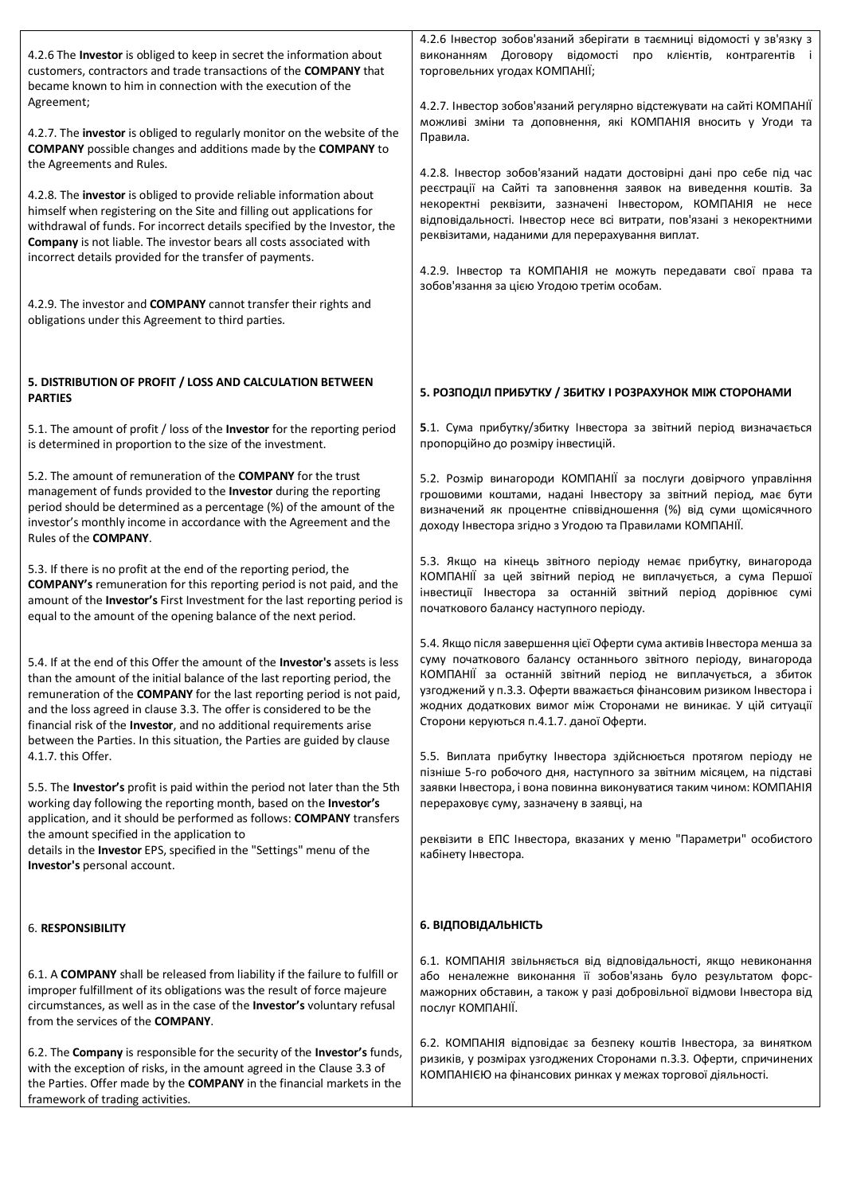| 4.2.6 The Investor is obliged to keep in secret the information about<br>customers, contractors and trade transactions of the COMPANY that<br>became known to him in connection with the execution of the<br>Agreement;<br>4.2.7. The investor is obliged to regularly monitor on the website of the<br><b>COMPANY</b> possible changes and additions made by the COMPANY to<br>the Agreements and Rules.<br>4.2.8. The investor is obliged to provide reliable information about<br>himself when registering on the Site and filling out applications for<br>withdrawal of funds. For incorrect details specified by the Investor, the<br>Company is not liable. The investor bears all costs associated with<br>incorrect details provided for the transfer of payments.<br>4.2.9. The investor and COMPANY cannot transfer their rights and<br>obligations under this Agreement to third parties. | 4.2.6 Інвестор зобов'язаний зберігати в таємниці відомості у зв'язку з<br>виконанням Договору відомості<br>клієнтів, контрагентів і<br>про<br>торговельних угодах КОМПАНІЇ;<br>4.2.7. Інвестор зобов'язаний регулярно відстежувати на сайті КОМПАНІЇ<br>можливі зміни та доповнення, які КОМПАНІЯ вносить у Угоди та<br>Правила.<br>4.2.8. Інвестор зобов'язаний надати достовірні дані про себе під час<br>реєстрації на Сайті та заповнення заявок на виведення коштів. За<br>некоректні реквізити, зазначені Інвестором, КОМПАНІЯ не несе<br>відповідальності. Інвестор несе всі витрати, пов'язані з некоректними<br>реквізитами, наданими для перерахування виплат.<br>4.2.9. Інвестор та КОМПАНІЯ не можуть передавати свої права та<br>зобов'язання за цією Угодою третім особам. |
|------------------------------------------------------------------------------------------------------------------------------------------------------------------------------------------------------------------------------------------------------------------------------------------------------------------------------------------------------------------------------------------------------------------------------------------------------------------------------------------------------------------------------------------------------------------------------------------------------------------------------------------------------------------------------------------------------------------------------------------------------------------------------------------------------------------------------------------------------------------------------------------------------|------------------------------------------------------------------------------------------------------------------------------------------------------------------------------------------------------------------------------------------------------------------------------------------------------------------------------------------------------------------------------------------------------------------------------------------------------------------------------------------------------------------------------------------------------------------------------------------------------------------------------------------------------------------------------------------------------------------------------------------------------------------------------------------|
| 5. DISTRIBUTION OF PROFIT / LOSS AND CALCULATION BETWEEN<br><b>PARTIES</b><br>5.1. The amount of profit / loss of the <b>Investor</b> for the reporting period<br>is determined in proportion to the size of the investment.                                                                                                                                                                                                                                                                                                                                                                                                                                                                                                                                                                                                                                                                         | 5. РОЗПОДІЛ ПРИБУТКУ / ЗБИТКУ І РОЗРАХУНОК МІЖ СТОРОНАМИ<br>5.1. Сума прибутку/збитку Інвестора за звітний період визначається<br>пропорційно до розміру інвестицій.                                                                                                                                                                                                                                                                                                                                                                                                                                                                                                                                                                                                                     |
| 5.2. The amount of remuneration of the <b>COMPANY</b> for the trust<br>management of funds provided to the Investor during the reporting<br>period should be determined as a percentage (%) of the amount of the<br>investor's monthly income in accordance with the Agreement and the<br>Rules of the COMPANY.                                                                                                                                                                                                                                                                                                                                                                                                                                                                                                                                                                                      | 5.2. Розмір винагороди КОМПАНІЇ за послуги довірчого управління<br>грошовими коштами, надані Інвестору за звітний період, має бути<br>визначений як процентне співвідношення (%) від суми щомісячного<br>доходу Інвестора згідно з Угодою та Правилами КОМПАНІЇ.                                                                                                                                                                                                                                                                                                                                                                                                                                                                                                                         |
| 5.3. If there is no profit at the end of the reporting period, the<br><b>COMPANY's</b> remuneration for this reporting period is not paid, and the<br>amount of the Investor's First Investment for the last reporting period is<br>equal to the amount of the opening balance of the next period.                                                                                                                                                                                                                                                                                                                                                                                                                                                                                                                                                                                                   | 5.3. Якщо на кінець звітного періоду немає прибутку, винагорода<br>КОМПАНІЇ за цей звітний період не виплачується, а сума Першої<br>інвестиції Інвестора за останній звітний період дорівнює сумі<br>початкового балансу наступного періоду.                                                                                                                                                                                                                                                                                                                                                                                                                                                                                                                                             |
| 5.4. If at the end of this Offer the amount of the <b>Investor's</b> assets is less<br>than the amount of the initial balance of the last reporting period, the<br>remuneration of the COMPANY for the last reporting period is not paid,<br>and the loss agreed in clause 3.3. The offer is considered to be the<br>financial risk of the Investor, and no additional requirements arise<br>between the Parties. In this situation, the Parties are guided by clause<br>4.1.7. this Offer.<br>5.5. The Investor's profit is paid within the period not later than the 5th<br>working day following the reporting month, based on the Investor's<br>application, and it should be performed as follows: COMPANY transfers<br>the amount specified in the application to<br>details in the Investor EPS, specified in the "Settings" menu of the<br>Investor's personal account.                      | 5.4. Якщо після завершення цієї Оферти сума активів Інвестора менша за<br>суму початкового балансу останнього звітного періоду, винагорода<br>KOMПАНII за останній звітний період не виплачується, а збиток<br>узгоджений у п.3.3. Оферти вважається фінансовим ризиком Інвестора і<br>жодних додаткових вимог між Сторонами не виникає. У цій ситуації<br>Сторони керуються п.4.1.7. даної Оферти.<br>5.5. Виплата прибутку Інвестора здійснюється протягом періоду не<br>пізніше 5-го робочого дня, наступного за звітним місяцем, на підставі<br>заявки Інвестора, і вона повинна виконуватися таким чином: КОМПАНІЯ<br>перераховує суму, зазначену в заявці, на<br>реквізити в ЕПС Інвестора, вказаних у меню "Параметри" особистого<br>кабінету Інвестора.                          |
| <b>6. RESPONSIBILITY</b>                                                                                                                                                                                                                                                                                                                                                                                                                                                                                                                                                                                                                                                                                                                                                                                                                                                                             | 6. ВІДПОВІДАЛЬНІСТЬ                                                                                                                                                                                                                                                                                                                                                                                                                                                                                                                                                                                                                                                                                                                                                                      |
| 6.1. A COMPANY shall be released from liability if the failure to fulfill or<br>improper fulfillment of its obligations was the result of force majeure<br>circumstances, as well as in the case of the Investor's voluntary refusal<br>from the services of the COMPANY.                                                                                                                                                                                                                                                                                                                                                                                                                                                                                                                                                                                                                            | 6.1. КОМПАНІЯ звільняється від відповідальності, якщо невиконання<br>або неналежне виконання її зобов'язань було результатом форс-<br>мажорних обставин, а також у разі добровільної відмови Інвестора від<br>послуг КОМПАНІЇ.                                                                                                                                                                                                                                                                                                                                                                                                                                                                                                                                                           |
| 6.2. The Company is responsible for the security of the Investor's funds,<br>with the exception of risks, in the amount agreed in the Clause 3.3 of<br>the Parties. Offer made by the COMPANY in the financial markets in the<br>framework of trading activities.                                                                                                                                                                                                                                                                                                                                                                                                                                                                                                                                                                                                                                    | 6.2. КОМПАНІЯ відповідає за безпеку коштів Інвестора, за винятком<br>ризиків, у розмірах узгоджених Сторонами п.3.3. Оферти, спричинених<br>КОМПАНІЄЮ на фінансових ринках у межах торгової діяльності.                                                                                                                                                                                                                                                                                                                                                                                                                                                                                                                                                                                  |
|                                                                                                                                                                                                                                                                                                                                                                                                                                                                                                                                                                                                                                                                                                                                                                                                                                                                                                      |                                                                                                                                                                                                                                                                                                                                                                                                                                                                                                                                                                                                                                                                                                                                                                                          |